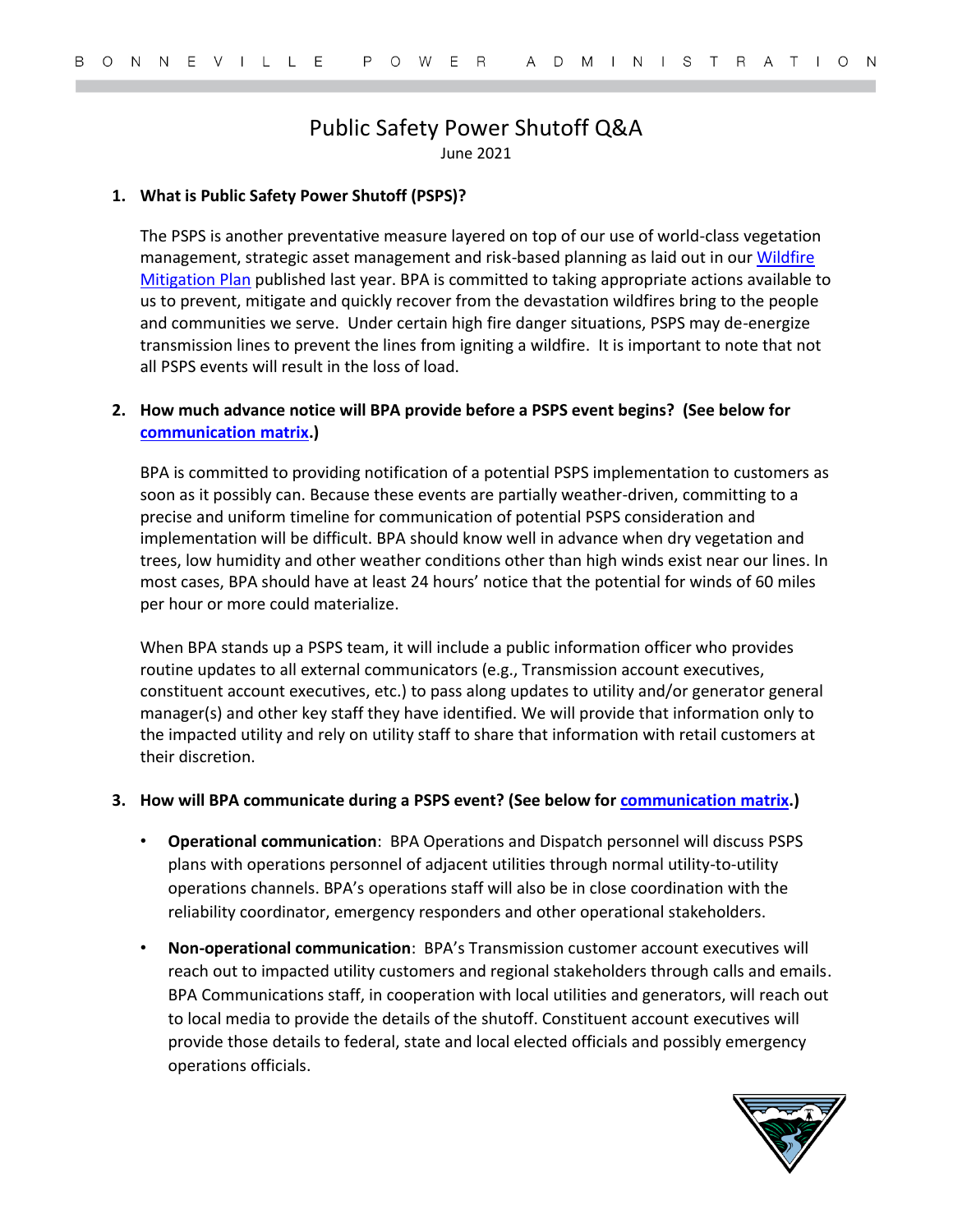# Public Safety Power Shutoff Q&A

June 2021

#### **1. What is Public Safety Power Shutoff (PSPS)?**

The PSPS is another preventative measure layered on top of our use of world-class vegetation management, strategic asset management and risk-based planning as laid out in our [Wildfire](https://www.bpa.gov/news/pubs/GeneralPublications/BPA-Wildfire-Mitigation-Plan.pdf)  [Mitigation Plan](https://www.bpa.gov/news/pubs/GeneralPublications/BPA-Wildfire-Mitigation-Plan.pdf) published last year. BPA is committed to taking appropriate actions available to us to prevent, mitigate and quickly recover from the devastation wildfires bring to the people and communities we serve. Under certain high fire danger situations, PSPS may de-energize transmission lines to prevent the lines from igniting a wildfire. It is important to note that not all PSPS events will result in the loss of load.

## **2. How much advance notice will BPA provide before a PSPS event begins? (See below for [communication matrix.](#page-2-0))**

BPA is committed to providing notification of a potential PSPS implementation to customers as soon as it possibly can. Because these events are partially weather-driven, committing to a precise and uniform timeline for communication of potential PSPS consideration and implementation will be difficult. BPA should know well in advance when dry vegetation and trees, low humidity and other weather conditions other than high winds exist near our lines. In most cases, BPA should have at least 24 hours' notice that the potential for winds of 60 miles per hour or more could materialize.

When BPA stands up a PSPS team, it will include a public information officer who provides routine updates to all external communicators (e.g., Transmission account executives, constituent account executives, etc.) to pass along updates to utility and/or generator general manager(s) and other key staff they have identified. We will provide that information only to the impacted utility and rely on utility staff to share that information with retail customers at their discretion.

#### **3. How will BPA communicate during a PSPS event? (See below fo[r communication matrix.](#page-2-0))**

- **Operational communication**: BPA Operations and Dispatch personnel will discuss PSPS plans with operations personnel of adjacent utilities through normal utility-to-utility operations channels. BPA's operations staff will also be in close coordination with the reliability coordinator, emergency responders and other operational stakeholders.
- **Non-operational communication**: BPA's Transmission customer account executives will reach out to impacted utility customers and regional stakeholders through calls and emails. BPA Communications staff, in cooperation with local utilities and generators, will reach out to local media to provide the details of the shutoff. Constituent account executives will provide those details to federal, state and local elected officials and possibly emergency operations officials.

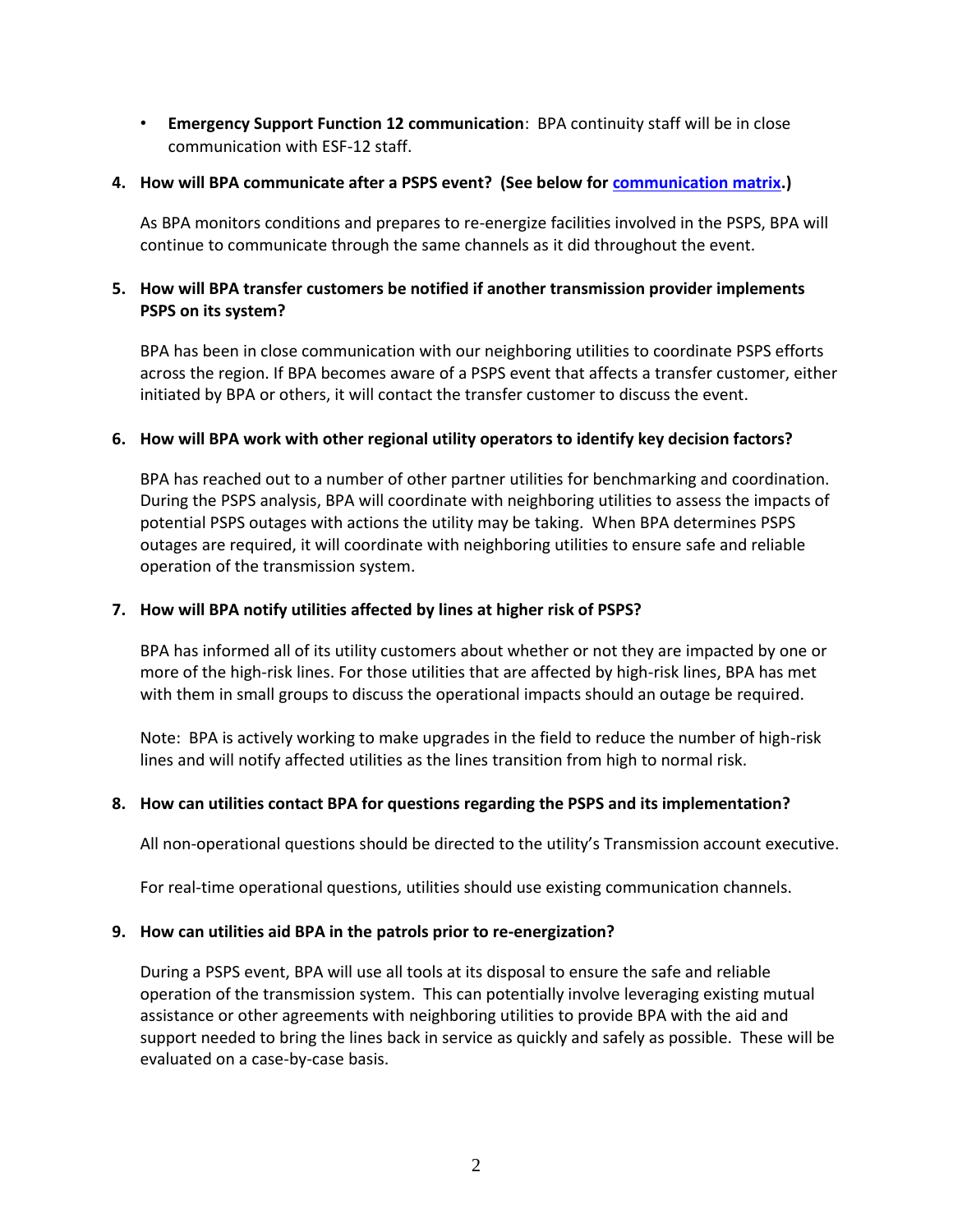• **Emergency Support Function 12 communication**: BPA continuity staff will be in close communication with ESF-12 staff.

# **4. How will BPA communicate after a PSPS event? (See below fo[r communication matrix.](#page-2-0))**

As BPA monitors conditions and prepares to re-energize facilities involved in the PSPS, BPA will continue to communicate through the same channels as it did throughout the event.

# **5. How will BPA transfer customers be notified if another transmission provider implements PSPS on its system?**

BPA has been in close communication with our neighboring utilities to coordinate PSPS efforts across the region. If BPA becomes aware of a PSPS event that affects a transfer customer, either initiated by BPA or others, it will contact the transfer customer to discuss the event.

## **6. How will BPA work with other regional utility operators to identify key decision factors?**

BPA has reached out to a number of other partner utilities for benchmarking and coordination. During the PSPS analysis, BPA will coordinate with neighboring utilities to assess the impacts of potential PSPS outages with actions the utility may be taking. When BPA determines PSPS outages are required, it will coordinate with neighboring utilities to ensure safe and reliable operation of the transmission system.

# **7. How will BPA notify utilities affected by lines at higher risk of PSPS?**

BPA has informed all of its utility customers about whether or not they are impacted by one or more of the high-risk lines. For those utilities that are affected by high-risk lines, BPA has met with them in small groups to discuss the operational impacts should an outage be required.

Note: BPA is actively working to make upgrades in the field to reduce the number of high-risk lines and will notify affected utilities as the lines transition from high to normal risk.

## **8. How can utilities contact BPA for questions regarding the PSPS and its implementation?**

All non-operational questions should be directed to the utility's Transmission account executive.

For real-time operational questions, utilities should use existing communication channels.

## **9. How can utilities aid BPA in the patrols prior to re-energization?**

During a PSPS event, BPA will use all tools at its disposal to ensure the safe and reliable operation of the transmission system. This can potentially involve leveraging existing mutual assistance or other agreements with neighboring utilities to provide BPA with the aid and support needed to bring the lines back in service as quickly and safely as possible. These will be evaluated on a case-by-case basis.